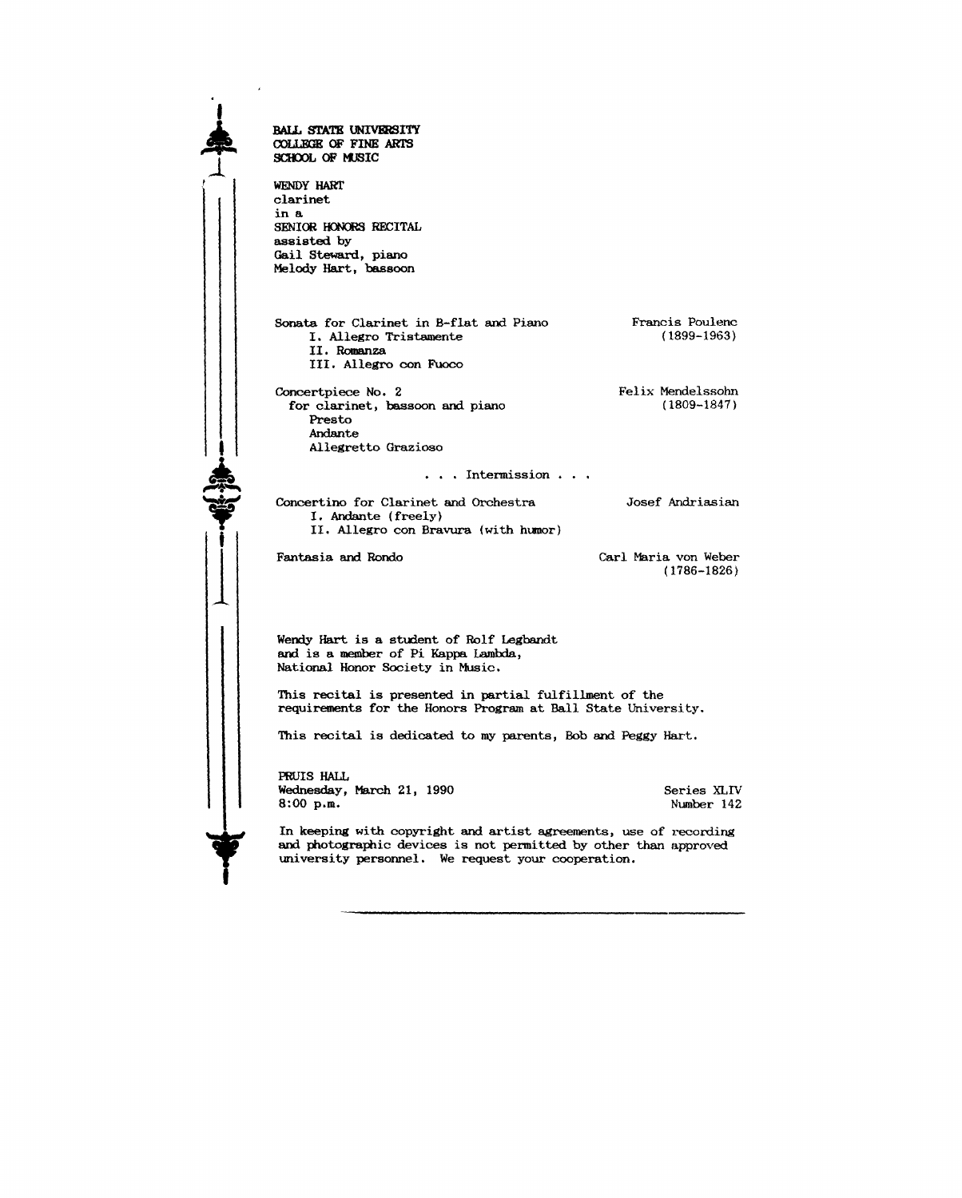**•**  $\begin{array}{|c|c|} \hline \hline \hline \hline \hline \hline \hline \end{array}$  $\clubsuit$ **1** 1 2 3 3 4 4 4 5  $\frac{1}{2}$  5 3 4 5 6 7 5  $\frac{1}{2}$  5  $\frac{1}{2}$  5  $\frac{1}{2}$  5  $\frac{1}{2}$  5  $\frac{1}{2}$  5  $\frac{1}{2}$  5  $\frac{1}{2}$  5  $\frac{1}{2}$  5  $\frac{1}{2}$  5  $\frac{1}{2}$  5  $\frac{1}{2}$  5  $\frac{1}{2}$  5  $\frac{1}{2}$  5  $\frac{1}{2}$  5  $\frac{1}{2}$  BALL STATE UNIVBRSITY COLLEGE OF FINE ARTS SCHOOL OF MUSIC WENDY HART clarinet in a SENIOR HONORS RECITAL assisted by Gail Steward, piano Melody Hart, bassoon Sonata for Clarinet in B-flat and Piano I. Allegro Tristamente II.Romanza III. Allegro con Fuoco Concertpiece No. 2 for clarinet, bassoon and piano Presto Andante Allegretto Grazioso  $\ldots$  Intermission  $\ldots$ Concertina for Clarinet and Orchestra I. Andante (freely) II. Allegro con Bravura (with humor) Fantasia and Rondo Wendy Hart is a student of Rolf Legbandt and is a member of Pi Kappa Lambda, National Honor Society in Music. Francis Poulenc (1899-1963) Felix Mendelssohn (1809-1847) Josef Andriasian Carl Maria von Weber (1786-1826) This recital is presented in partial fulfillment of the requirements for the Honors Program at Ball State University. This recital is dedicated to my parents, Bob and Peggy Hart. FRUIS HALL Wednesday, March 21, 1990 8:00 p.m. Series XLIV Number 142 In keeping with copyright and artist agreements, use of recording and photographic devices is not permitted by other than approved

university personnel. We request your cooperation.

-------------------------------------------------

I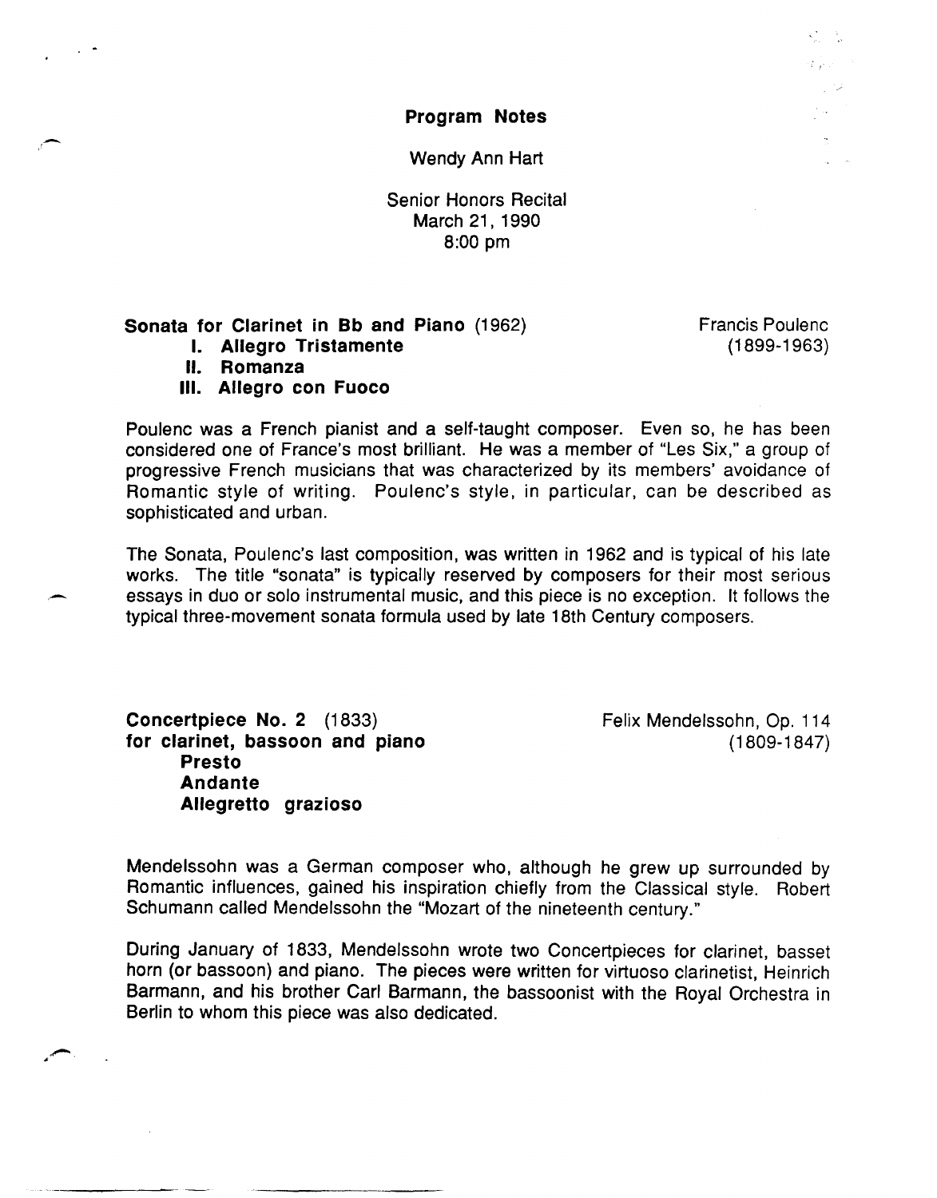Program Notes

Wendy Ann Hart

Senior Honors Recital March 21, 1990 8:00 pm

## Sonata for Clarinet in Bb and Piano (1962)

I. Allegro Tristamente

II. Romanza

III. Allegro con Fuoco

Poulenc was a French pianist and a self-taught composer. Even so, he has been considered one of France's most brilliant. He was a member of "Les Six," a group of progressive French musicians that was characterized by its members' avoidance of Romantic style of writing. Poulenc's style, in particular, can be described as sophisticated and urban.

The Sonata, Poulenc's last composition, was written in 1962 and is typical of his late works. The title "sonata" is typically reserved by composers for their most serious essays in duo or solo instrumental music, and this piece is no exception. It follows the typical three-movement sonata formula used by late 18th Century composers.

Concertpiece No. 2 (1833) for clarinet, bassoon and piano Presto Andante Allegretto grazioso

Felix Mendelssohn, Op. 114 (1809-1847)

Mendelssohn was a German composer who, although he grew up surrounded by Romantic influences, gained his inspiration chiefly from the Classical style. Robert Schumann called Mendelssohn the "Mozart of the nineteenth century."

During January of 1833, Mendelssohn wrote two Concertpieces for clarinet, basset horn (or bassoon) and piano. The pieces were written for virtuoso clarinetist, Heinrich Barmann, and his brother Carl Barmann, the bassoonist with the Royal Orchestra in Berlin to whom this piece was also dedicated.

Francis Poulenc (1899-1963)

 $2.11 - 1.0$